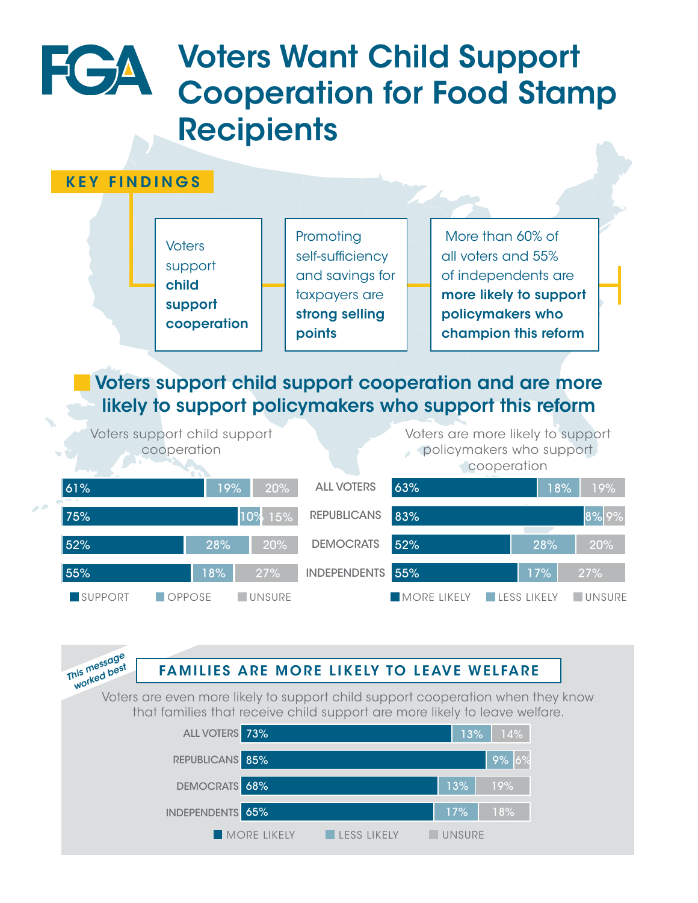# Voters Want Child Support Cooperation for Food Stamp **Recipients**

### KEY FINDINGS

FGA



## Voters support child support cooperation and are more likely to support policymakers who support this reform

Voters support child support cooperation

Voters are more likely to support policymakers who support cooperation

85% 9% 6%





#### This message **FAMILIES ARE MO** 68% 13% 19% DEMOCRATS 52% 28% 20% 55% 17% 27% FAMILIES ARE MORE LIKELY TO LEAVE WELFARE

REPUBLICANS

We.<br>Voters are even more likely to support child support cooperation when they know that families that receive child support are more likely to leave welfare.